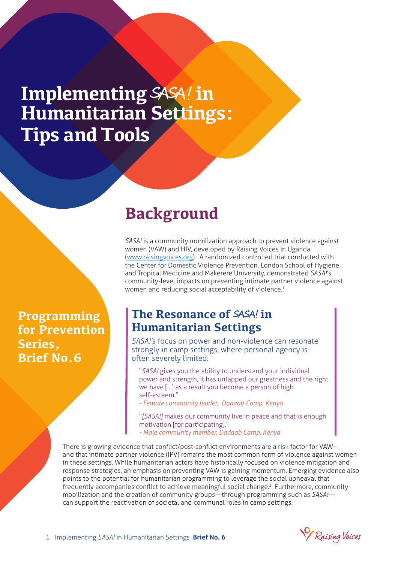# **Implementing** SASA ! **in Humanitarian Settings: Tips and Tools**

# **Background**

*SASA!* is a community mobilization approach to prevent violence against women (VAW) and HIV, developed by Raising Voices in Uganda (www.raisingvoices.org). A randomized controlled trial conducted with the Center for Domestic Violence Prevention, London School of Hygiene and Tropical Medicine and Makerere University, demonstrated *SASA!*'s community-level impacts on preventing intimate partner violence against women and reducing social acceptability of violence.<sup>1</sup>

## **The Resonance of SASA! in Humanitarian Settings**

*SASA!'*s focus on power and non-violence can resonate strongly in camp settings, where personal agency is often severely limited:

"*SASA!* gives you the ability to understand your individual power and strength, it has untapped our greatness and the right we have […] as a result you become a person of high self-esteem."

*- Female community leader, Dadaab Camp, Kenya*

"*[SASA!]* makes our community live in peace and that is enough motivation [for participating]." *- Male community member, Dadaab Camp, Kenya*

There is growing evidence that conflict/post-conflict environments are a risk factor for VAWand that intimate partner violence (IPV) remains the most common form of violence against women in these settings. While humanitarian actors have historically focused on violence mitigation and response strategies, an emphasis on preventing VAW is gaining momentum. Emerging evidence also points to the potential for humanitarian programming to leverage the social upheaval that frequently accompanies conflict to achieve meaningful social change.<sup>2</sup> Furthermore, community mobilization and the creation of community groups—through programming such as *SASA!* can support the reactivation of societal and communal roles in camp settings.

Raising Voices

**Programming for Prevention Series, Brief No.6**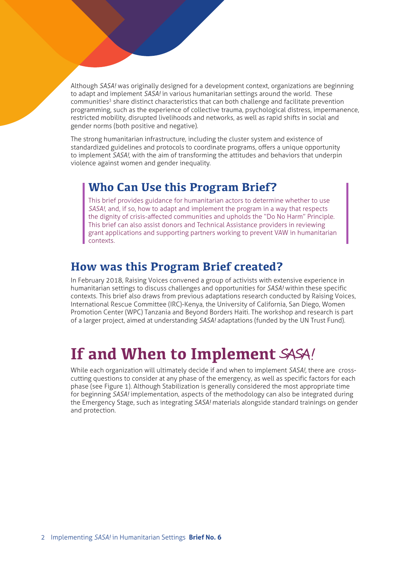Although *SASA!* was originally designed for a development context, organizations are beginning to adapt and implement *SASA!* in various humanitarian settings around the world. These communities<sup>3</sup> share distinct characteristics that can both challenge and facilitate prevention programming, such as the experience of collective trauma, psychological distress, impermanence, restricted mobility, disrupted livelihoods and networks, as well as rapid shifts in social and gender norms (both positive and negative).

The strong humanitarian infrastructure, including the cluster system and existence of standardized guidelines and protocols to coordinate programs, offers a unique opportunity to implement *SASA!*, with the aim of transforming the attitudes and behaviors that underpin violence against women and gender inequality.

## **Who Can Use this Program Brief?**

This brief provides guidance for humanitarian actors to determine whether to use *SASA!*, and, if so, how to adapt and implement the program in a way that respects the dignity of crisis-affected communities and upholds the "Do No Harm" Principle. This brief can also assist donors and Technical Assistance providers in reviewing grant applications and supporting partners working to prevent VAW in humanitarian contexts.

# **How was this Program Brief created?**

In February 2018, Raising Voices convened a group of activists with extensive experience in humanitarian settings to discuss challenges and opportunities for *SASA!* within these specific contexts. This brief also draws from previous adaptations research conducted by Raising Voices, International Rescue Committee (IRC)-Kenya, the University of California, San Diego, Women Promotion Center (WPC) Tanzania and Beyond Borders Haiti. The workshop and research is part of a larger project, aimed at understanding *SASA!* adaptations (funded by the UN Trust Fund).

# **If and When to Implement** SASA!

While each organization will ultimately decide if and when to implement *SASA!,* there are crosscutting questions to consider at any phase of the emergency, as well as specific factors for each phase (see Figure 1). Although Stabilization is generally considered the most appropriate time for beginning *SASA!* implementation, aspects of the methodology can also be integrated during the Emergency Stage, such as integrating *SASA!* materials alongside standard trainings on gender and protection.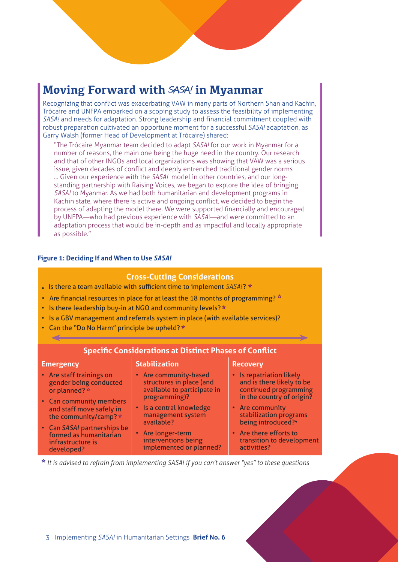# **Moving Forward with** SASA! **in Myanmar**

Recognizing that conflict was exacerbating VAW in many parts of Northern Shan and Kachin, Trócaire and UNFPA embarked on a scoping study to assess the feasibility of implementing *SASA!* and needs for adaptation. Strong leadership and financial commitment coupled with robust preparation cultivated an opportune moment for a successful *SASA!* adaptation, as Garry Walsh (former Head of Development at Trócaire) shared:

"The Trócaire Myanmar team decided to adapt *SASA!* for our work in Myanmar for a number of reasons, the main one being the huge need in the country. Our research and that of other INGOs and local organizations was showing that VAW was a serious issue, given decades of conflict and deeply entrenched traditional gender norms … Given our experience with the *SASA!* model in other countries, and our longstanding partnership with Raising Voices, we began to explore the idea of bringing *SASA!* to Myanmar. As we had both humanitarian and development programs in Kachin state, where there is active and ongoing conflict, we decided to begin the process of adapting the model there. We were supported financially and encouraged by UNFPA—who had previous experience with *SASA*!—and were committed to an adaptation process that would be in-depth and as impactful and locally appropriate as possible."

#### **Figure 1: Deciding If and When to Use** *SASA!*

#### **Cross-Cutting Considerations**

- Is there a team available with sufficient time to implement *SASA!*? \*
- Are financial resources in place for at least the 18 months of programming? \*
- Is there leadership buy-in at NGO and community levels? \*
- Is a GBV management and referrals system in place (with available services)?
- Can the "Do No Harm" principle be upheld? \*

#### **Specific Considerations at Distinct Phases of Conflict**

#### **Emergency**

- Are staff trainings on gender being conducted or planned? \*
- Can community members and staff move safely in the community/camp?  $*$
- Can SASA! partnerships be formed as humanitarian infrastructure is developed?

#### **Stabilization**

- Are community-based structures in place (and available to participate in programming)?
- Is a central knowledge management system available?
- Are longer-term interventions being implemented or planned?

#### **Recovery**

- Is repatriation likely and is there likely to be continued programming in the country of origin?
- Are community stabilization programs being introduced?<sup>4</sup>
- Are there efforts to transition to development activities?

\* *It is advised to refrain from implementing SASA! if you can't answer "yes" to these questions*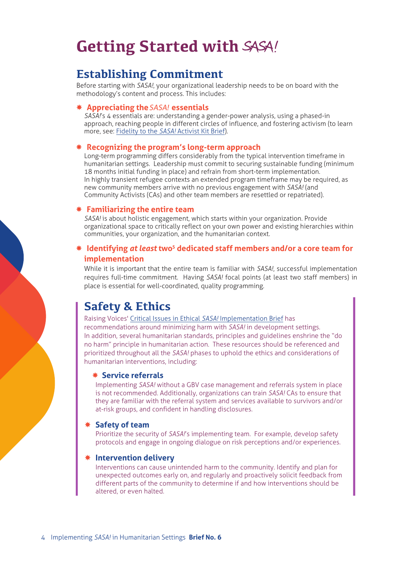# **Getting Started with** SASA!

## **Establishing Commitment**

Before starting with *SASA!*, your organizational leadership needs to be on board with the methodology's content and process. This includes:

#### **Appreciating the** SASA! **essentials**

*SASA!*'s 4 essentials are: understanding a gender-power analysis, using a phased-in approach, reaching people in different circles of influence, and fostering activism (to learn more, see: Fidelity to the *SASA!* Activist Kit Brief).

#### **Recognizing the program's long-term approach**

Long-term programming differs considerably from the typical intervention timeframe in humanitarian settings. Leadership must commit to securing sustainable funding (minimum 18 months initial funding in place) and refrain from short-term implementation. In highly transient refugee contexts an extended program timeframe may be required, as new community members arrive with no previous engagement with *SASA!* (and Community Activists (CAs) and other team members are resettled or repatriated).

#### **Familiarizing the entire team**

*SASA!* is about holistic engagement, which starts within your organization. Provide organizational space to critically reflect on your own power and existing hierarchies within communities, your organization, and the humanitarian context.

### **Identifying** *at least* **two<sup>5</sup> dedicated staff members and/or a core team for implementation**

While it is important that the entire team is familiar with *SASA!*, successful implementation requires full-time commitment. Having *SASA!* focal points (at least two staff members) in place is essential for well-coordinated, quality programming.

## **Safety & Ethics**

Raising Voices' Critical Issues in Ethical *SASA!* Implementation Brief has

recommendations around minimizing harm with *SASA!* in development settings. In addition, several humanitarian standards, principles and guidelines enshrine the "do no harm" principle in humanitarian action. These resources should be referenced and prioritized throughout all the *SASA!* phases to uphold the ethics and considerations of humanitarian interventions, including:

#### **Service referrals**

Implementing *SASA!* without a GBV case management and referrals system in place is not recommended. Additionally, organizations can train *SASA!* CAs to ensure that they are familiar with the referral system and services available to survivors and/or at-risk groups, and confident in handling disclosures.

#### **Safety of team**

Prioritize the security of *SASA!*'s implementing team. For example, develop safety protocols and engage in ongoing dialogue on risk perceptions and/or experiences.

#### **Intervention delivery**

Interventions can cause unintended harm to the community. Identify and plan for unexpected outcomes early on, and regularly and proactively solicit feedback from different parts of the community to determine if and how interventions should be altered, or even halted.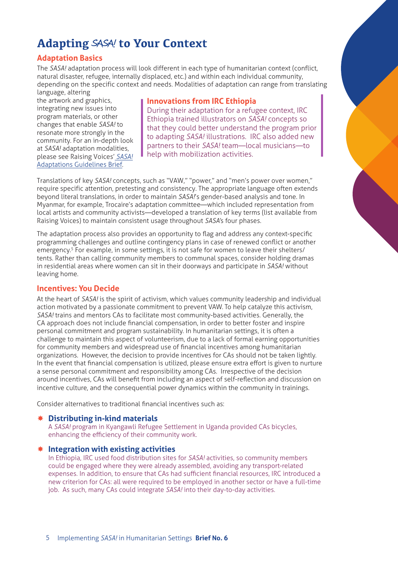# **Adapting** SASA! **to Your Context**

## **Adaptation Basics**

The *SASA!* adaptation process will look different in each type of humanitarian context (conflict, natural disaster, refugee, internally displaced, etc.) and within each individual community, depending on the specific context and needs. Modalities of adaptation can range from translating language, altering

the artwork and graphics, integrating new issues into program materials, or other changes that enable *SASA!* to resonate more strongly in the community. For an in-depth look at *SASA!* adaptation modalities, please see Raising Voices' *SASA!* Adaptations Guidelines Brief.

## **Innovations from IRC Ethiopia**

During their adaptation for a refugee context, IRC Ethiopia trained illustrators on *SASA!* concepts so that they could better understand the program prior to adapting *SASA!* illustrations. IRC also added new partners to their *SASA!* team—local musicians—to help with mobilization activities.

Translations of key *SASA!* concepts, such as "VAW," "power," and "men's power over women," require specific attention, pretesting and consistency. The appropriate language often extends beyond literal translations, in order to maintain *SASA!*'s gender-based analysis and tone. In Myanmar, for example, Trocaire's adaptation committee—which included representation from local artists and community activists—developed a translation of key terms (list available from Raising Voices) to maintain consistent usage throughout *SASA'*s four phases.

The adaptation process also provides an opportunity to flag and address any context-specific programming challenges and outline contingency plans in case of renewed conflict or another emergency.<sup>5</sup> For example, in some settings, it is not safe for women to leave their shelters/ tents. Rather than calling community members to communal spaces, consider holding dramas in residential areas where women can sit in their doorways and participate in *SASA!* without leaving home.

## **Incentives: You Decide**

At the heart of *SASA!* is the spirit of activism, which values community leadership and individual action motivated by a passionate commitment to prevent VAW. To help catalyze this activism, *SASA!* trains and mentors CAs to facilitate most community-based activities. Generally, the CA approach does not include financial compensation, in order to better foster and inspire personal commitment and program sustainability. In humanitarian settings, it is often a challenge to maintain this aspect of volunteerism, due to a lack of formal earning opportunities for community members and widespread use of financial incentives among humanitarian organizations. However, the decision to provide incentives for CAs should not be taken lightly. In the event that financial compensation is utilized, please ensure extra effort is given to nurture a sense personal commitment and responsibility among CAs. Irrespective of the decision around incentives, CAs will benefit from including an aspect of self-reflection and discussion on incentive culture, and the consequential power dynamics within the community in trainings.

Consider alternatives to traditional financial incentives such as:

## **Distributing in-kind materials**

A *SASA!* program in Kyangawli Refugee Settlement in Uganda provided CAs bicycles, enhancing the efficiency of their community work.

## **Integration with existing activities**

In Ethiopia, IRC used food distribution sites for *SASA!* activities, so community members could be engaged where they were already assembled, avoiding any transport-related expenses. In addition, to ensure that CAs had sufficient financial resources, IRC introduced a new criterion for CAs: all were required to be employed in another sector or have a full-time job. As such, many CAs could integrate *SASA!* into their day-to-day activities.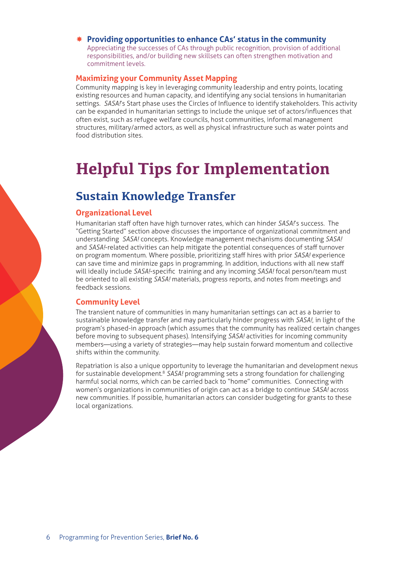## **Providing opportunities to enhance CAs' status in the community**

Appreciating the successes of CAs through public recognition, provision of additional responsibilities, and/or building new skillsets can often strengthen motivation and commitment levels.

### **Maximizing your Community Asset Mapping**

Community mapping is key in leveraging community leadership and entry points, locating existing resources and human capacity, and identifying any social tensions in humanitarian settings. *SASA!*'s Start phase uses the Circles of Influence to identify stakeholders. This activity can be expanded in humanitarian settings to include the unique set of actors/influences that often exist, such as refugee welfare councils, host communities, informal management structures, military/armed actors, as well as physical infrastructure such as water points and food distribution sites.

# **Helpful Tips for Implementation**

# **Sustain Knowledge Transfer**

### **Organizational Level**

Humanitarian staff often have high turnover rates, which can hinder *SASA!*'s success. The "Getting Started" section above discusses the importance of organizational commitment and understanding *SASA!* concepts. Knowledge management mechanisms documenting *SASA!* and *SASA!*-related activities can help mitigate the potential consequences of staff turnover on program momentum. Where possible, prioritizing staff hires with prior *SASA!* experience can save time and minimize gaps in programming. In addition, inductions with all new staff will ideally include *SASA!*-specific training and any incoming *SASA!* focal person/team must be oriented to all existing *SASA!* materials, progress reports, and notes from meetings and feedback sessions.

### **Community Level**

The transient nature of communities in many humanitarian settings can act as a barrier to sustainable knowledge transfer and may particularly hinder progress with *SASA!*, in light of the program's phased-in approach (which assumes that the community has realized certain changes before moving to subsequent phases). Intensifying *SASA!* activities for incoming community members—using a variety of strategies—may help sustain forward momentum and collective shifts within the community.

Repatriation is also a unique opportunity to leverage the humanitarian and development nexus for sustainable development.<sup>8</sup> SASA! programming sets a strong foundation for challenging harmful social norms, which can be carried back to "home" communities. Connecting with women's organizations in communities of origin can act as a bridge to continue *SASA!* across new communities. If possible, humanitarian actors can consider budgeting for grants to these local organizations.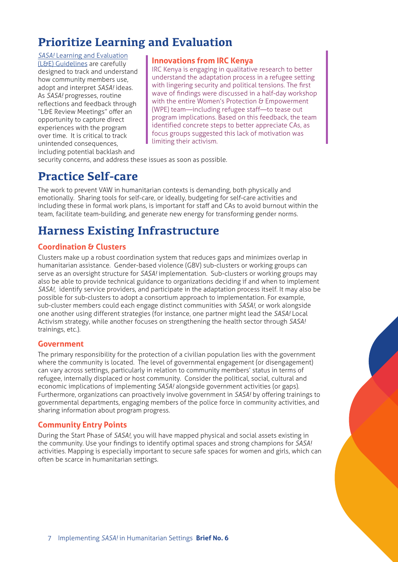# **Prioritize Learning and Evaluation**

*SASA!* Learning and Evaluation (L&E) Guidelines are carefully designed to track and understand how community members use, adopt and interpret *SASA!* ideas. As *SASA!* progresses, routine reflections and feedback through "L&E Review Meetings" offer an opportunity to capture direct experiences with the program over time. It is critical to track unintended consequences, including potential backlash and

### **Innovations from IRC Kenya**

IRC Kenya is engaging in qualitative research to better understand the adaptation process in a refugee setting with lingering security and political tensions. The first wave of findings were discussed in a half-day workshop with the entire Women's Protection & Empowerment (WPE) team—including refugee staff—to tease out program implications. Based on this feedback, the team identified concrete steps to better appreciate CAs, as focus groups suggested this lack of motivation was limiting their activism.

security concerns, and address these issues as soon as possible.

# **Practice Self-care**

The work to prevent VAW in humanitarian contexts is demanding, both physically and emotionally. Sharing tools for self-care, or ideally, budgeting for self-care activities and including these in formal work plans, is important for staff and CAs to avoid burnout within the team, facilitate team-building, and generate new energy for transforming gender norms.

# **Harness Existing Infrastructure**

## **Coordination & Clusters**

Clusters make up a robust coordination system that reduces gaps and minimizes overlap in humanitarian assistance. Gender-based violence (GBV) sub-clusters or working groups can serve as an oversight structure for *SASA!* implementation. Sub-clusters or working groups may also be able to provide technical guidance to organizations deciding if and when to implement *SASA!*, identify service providers, and participate in the adaptation process itself. It may also be possible for sub-clusters to adopt a consortium approach to implementation. For example, sub-cluster members could each engage distinct communities with *SASA!*, or work alongside one another using different strategies (for instance, one partner might lead the *SASA!* Local Activism strategy, while another focuses on strengthening the health sector through *SASA!* trainings, etc.).

### **Government**

The primary responsibility for the protection of a civilian population lies with the government where the community is located. The level of governmental engagement (or disengagement) can vary across settings, particularly in relation to community members' status in terms of refugee, internally displaced or host community. Consider the political, social, cultural and economic implications of implementing *SASA!* alongside government activities (or gaps). Furthermore, organizations can proactively involve government in *SASA!* by offering trainings to governmental departments, engaging members of the police force in community activities, and sharing information about program progress.

### **Community Entry Points**

During the Start Phase of *SASA!*, you will have mapped physical and social assets existing in the community. Use your findings to identify optimal spaces and strong champions for *SASA!* activities. Mapping is especially important to secure safe spaces for women and girls, which can often be scarce in humanitarian settings.